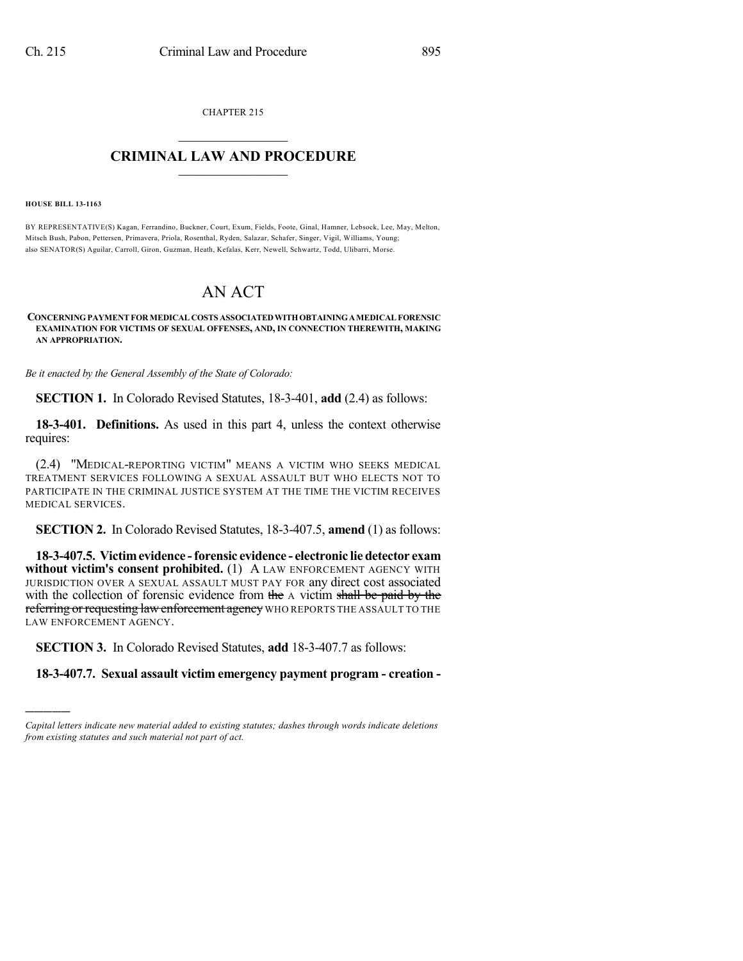CHAPTER 215  $\mathcal{L}_\text{max}$  . The set of the set of the set of the set of the set of the set of the set of the set of the set of the set of the set of the set of the set of the set of the set of the set of the set of the set of the set

## **CRIMINAL LAW AND PROCEDURE**  $\_$

**HOUSE BILL 13-1163**

)))))

BY REPRESENTATIVE(S) Kagan, Ferrandino, Buckner, Court, Exum, Fields, Foote, Ginal, Hamner, Lebsock, Lee, May, Melton, Mitsch Bush, Pabon, Pettersen, Primavera, Priola, Rosenthal, Ryden, Salazar, Schafer, Singer, Vigil, Williams, Young; also SENATOR(S) Aguilar, Carroll, Giron, Guzman, Heath, Kefalas, Kerr, Newell, Schwartz, Todd, Ulibarri, Morse.

## AN ACT

## **CONCERNINGPAYMENT FORMEDICAL COSTS ASSOCIATEDWITHOBTAININGAMEDICAL FORENSIC EXAMINATION FOR VICTIMS OF SEXUAL OFFENSES, AND, IN CONNECTION THEREWITH, MAKING AN APPROPRIATION.**

*Be it enacted by the General Assembly of the State of Colorado:*

**SECTION 1.** In Colorado Revised Statutes, 18-3-401, **add** (2.4) as follows:

**18-3-401. Definitions.** As used in this part 4, unless the context otherwise requires:

(2.4) "MEDICAL-REPORTING VICTIM" MEANS A VICTIM WHO SEEKS MEDICAL TREATMENT SERVICES FOLLOWING A SEXUAL ASSAULT BUT WHO ELECTS NOT TO PARTICIPATE IN THE CRIMINAL JUSTICE SYSTEM AT THE TIME THE VICTIM RECEIVES MEDICAL SERVICES.

**SECTION 2.** In Colorado Revised Statutes, 18-3-407.5, **amend** (1) as follows:

**18-3-407.5. Victimevidence -forensic evidence - electronic lie detector exam without victim's consent prohibited.** (1) A LAW ENFORCEMENT AGENCY WITH JURISDICTION OVER A SEXUAL ASSAULT MUST PAY FOR any direct cost associated with the collection of forensic evidence from the A victim shall be paid by the referring or requesting law enforcement agency WHO REPORTS THE ASSAULT TO THE LAW ENFORCEMENT AGENCY.

**SECTION 3.** In Colorado Revised Statutes, **add** 18-3-407.7 as follows:

**18-3-407.7. Sexual assault victim emergency payment program - creation -**

*Capital letters indicate new material added to existing statutes; dashes through words indicate deletions from existing statutes and such material not part of act.*